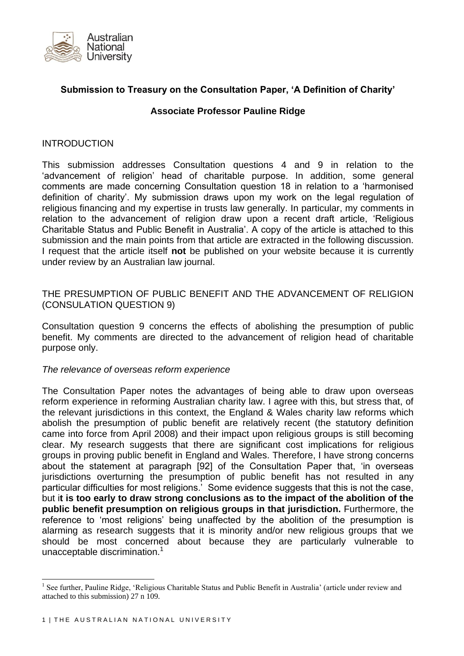

# **Submission to Treasury on the Consultation Paper, 'A Definition of Charity'**

#### **Associate Professor Pauline Ridge**

#### **INTRODUCTION**

This submission addresses Consultation questions 4 and 9 in relation to the 'advancement of religion' head of charitable purpose. In addition, some general comments are made concerning Consultation question 18 in relation to a 'harmonised definition of charity'. My submission draws upon my work on the legal regulation of religious financing and my expertise in trusts law generally. In particular, my comments in relation to the advancement of religion draw upon a recent draft article, 'Religious Charitable Status and Public Benefit in Australia'. A copy of the article is attached to this submission and the main points from that article are extracted in the following discussion. I request that the article itself **not** be published on your website because it is currently under review by an Australian law journal.

### THE PRESUMPTION OF PUBLIC BENEFIT AND THE ADVANCEMENT OF RELIGION (CONSULATION QUESTION 9)

Consultation question 9 concerns the effects of abolishing the presumption of public benefit. My comments are directed to the advancement of religion head of charitable purpose only.

#### *The relevance of overseas reform experience*

The Consultation Paper notes the advantages of being able to draw upon overseas reform experience in reforming Australian charity law. I agree with this, but stress that, of the relevant jurisdictions in this context, the England & Wales charity law reforms which abolish the presumption of public benefit are relatively recent (the statutory definition came into force from April 2008) and their impact upon religious groups is still becoming clear. My research suggests that there are significant cost implications for religious groups in proving public benefit in England and Wales. Therefore, I have strong concerns about the statement at paragraph [92] of the Consultation Paper that, 'in overseas jurisdictions overturning the presumption of public benefit has not resulted in any particular difficulties for most religions.' Some evidence suggests that this is not the case, but i**t is too early to draw strong conclusions as to the impact of the abolition of the public benefit presumption on religious groups in that jurisdiction.** Furthermore, the reference to 'most religions' being unaffected by the abolition of the presumption is alarming as research suggests that it is minority and/or new religious groups that we should be most concerned about because they are particularly vulnerable to unacceptable discrimination.<sup>1</sup>

<sup>&</sup>lt;sup>1</sup> See further, Pauline Ridge, 'Religious Charitable Status and Public Benefit in Australia' (article under review and attached to this submission) 27 n 109.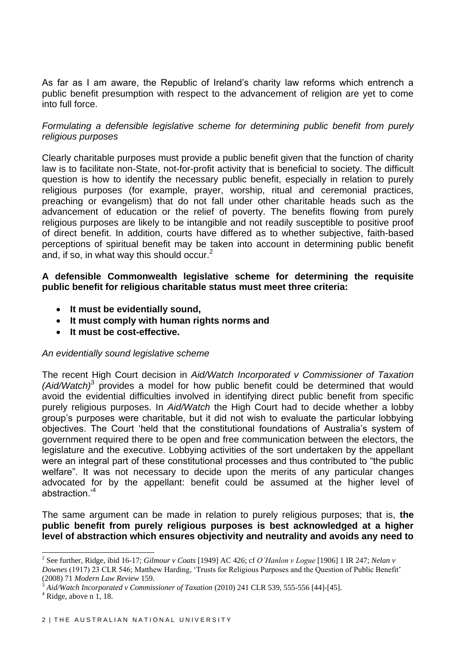As far as I am aware, the Republic of Ireland's charity law reforms which entrench a public benefit presumption with respect to the advancement of religion are yet to come into full force.

## *Formulating a defensible legislative scheme for determining public benefit from purely religious purposes*

Clearly charitable purposes must provide a public benefit given that the function of charity law is to facilitate non-State, not-for-profit activity that is beneficial to society. The difficult question is how to identify the necessary public benefit, especially in relation to purely religious purposes (for example, prayer, worship, ritual and ceremonial practices, preaching or evangelism) that do not fall under other charitable heads such as the advancement of education or the relief of poverty. The benefits flowing from purely religious purposes are likely to be intangible and not readily susceptible to positive proof of direct benefit. In addition, courts have differed as to whether subjective, faith-based perceptions of spiritual benefit may be taken into account in determining public benefit and, if so, in what way this should occur.<sup>2</sup>

## **A defensible Commonwealth legislative scheme for determining the requisite public benefit for religious charitable status must meet three criteria:**

- **It must be evidentially sound,**
- **It must comply with human rights norms and**
- **It must be cost-effective.**

### *An evidentially sound legislative scheme*

The recent High Court decision in *Aid/Watch Incorporated v Commissioner of Taxation (Aid/Watch)*<sup>3</sup> provides a model for how public benefit could be determined that would avoid the evidential difficulties involved in identifying direct public benefit from specific purely religious purposes. In *Aid/Watch* the High Court had to decide whether a lobby group's purposes were charitable, but it did not wish to evaluate the particular lobbying objectives. The Court 'held that the constitutional foundations of Australia's system of government required there to be open and free communication between the electors, the legislature and the executive. Lobbying activities of the sort undertaken by the appellant were an integral part of these constitutional processes and thus contributed to "the public welfare". It was not necessary to decide upon the merits of any particular changes advocated for by the appellant: benefit could be assumed at the higher level of abstraction.'<sup>4</sup>

The same argument can be made in relation to purely religious purposes; that is, **the public benefit from purely religious purposes is best acknowledged at a higher level of abstraction which ensures objectivity and neutrality and avoids any need to** 

<sup>2</sup> See further, Ridge, ibid 16-17; *Gilmour v Coats* [1949] AC 426; cf *O'Hanlon v Logue* [1906] 1 IR 247; *Nelan v Downes* (1917) 23 CLR 546; Matthew Harding, 'Trusts for Religious Purposes and the Question of Public Benefit' (2008) 71 *Modern Law Review* 159.

<sup>3</sup> *Aid/Watch Incorporated v Commissioner of Taxation* (2010) 241 CLR 539, 555-556 [44]-[45].

 $4$  Ridge, above n 1, 18.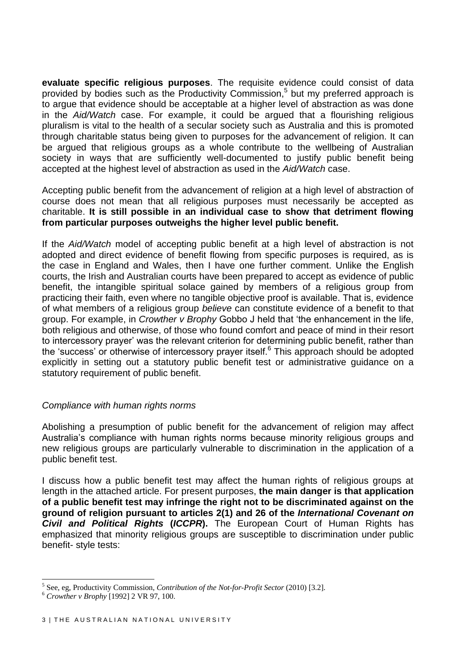**evaluate specific religious purposes**. The requisite evidence could consist of data provided by bodies such as the Productivity Commission,<sup>5</sup> but my preferred approach is to argue that evidence should be acceptable at a higher level of abstraction as was done in the *Aid/Watch* case. For example, it could be argued that a flourishing religious pluralism is vital to the health of a secular society such as Australia and this is promoted through charitable status being given to purposes for the advancement of religion. It can be argued that religious groups as a whole contribute to the wellbeing of Australian society in ways that are sufficiently well-documented to justify public benefit being accepted at the highest level of abstraction as used in the *Aid/Watch* case.

Accepting public benefit from the advancement of religion at a high level of abstraction of course does not mean that all religious purposes must necessarily be accepted as charitable. **It is still possible in an individual case to show that detriment flowing from particular purposes outweighs the higher level public benefit.**

If the *Aid/Watch* model of accepting public benefit at a high level of abstraction is not adopted and direct evidence of benefit flowing from specific purposes is required, as is the case in England and Wales, then I have one further comment. Unlike the English courts, the Irish and Australian courts have been prepared to accept as evidence of public benefit, the intangible spiritual solace gained by members of a religious group from practicing their faith, even where no tangible objective proof is available. That is, evidence of what members of a religious group *believe* can constitute evidence of a benefit to that group. For example, in *Crowther v Brophy* Gobbo J held that 'the enhancement in the life, both religious and otherwise, of those who found comfort and peace of mind in their resort to intercessory prayer' was the relevant criterion for determining public benefit, rather than the 'success' or otherwise of intercessory prayer itself.<sup>6</sup> This approach should be adopted explicitly in setting out a statutory public benefit test or administrative guidance on a statutory requirement of public benefit.

#### *Compliance with human rights norms*

Abolishing a presumption of public benefit for the advancement of religion may affect Australia's compliance with human rights norms because minority religious groups and new religious groups are particularly vulnerable to discrimination in the application of a public benefit test.

I discuss how a public benefit test may affect the human rights of religious groups at length in the attached article. For present purposes, **the main danger is that application of a public benefit test may infringe the right not to be discriminated against on the ground of religion pursuant to articles 2(1) and 26 of the** *International Covenant on Civil and Political Rights* **(***ICCPR***).** The European Court of Human Rights has emphasized that minority religious groups are susceptible to discrimination under public benefit- style tests:

<sup>5</sup> See, eg, Productivity Commission, *Contribution of the Not-for-Profit Sector* (2010) [3.2].

<sup>6</sup> *Crowther v Brophy* [1992] 2 VR 97, 100.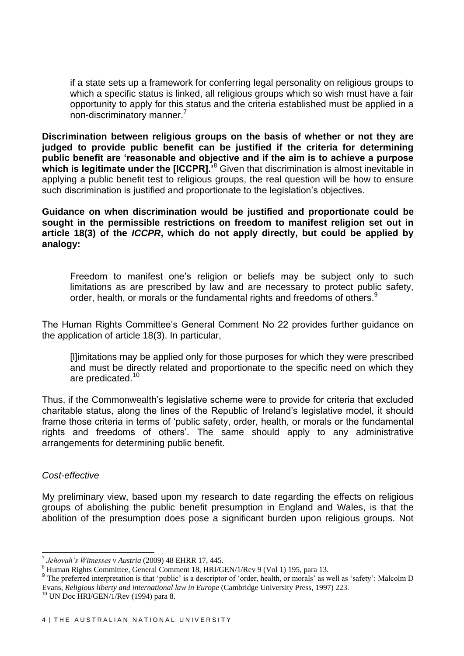if a state sets up a framework for conferring legal personality on religious groups to which a specific status is linked, all religious groups which so wish must have a fair opportunity to apply for this status and the criteria established must be applied in a non-discriminatory manner.<sup>7</sup>

**Discrimination between religious groups on the basis of whether or not they are judged to provide public benefit can be justified if the criteria for determining public benefit are 'reasonable and objective and if the aim is to achieve a purpose which is legitimate under the [ICCPR].**<sup>8</sup> Given that discrimination is almost inevitable in applying a public benefit test to religious groups, the real question will be how to ensure such discrimination is justified and proportionate to the legislation's objectives.

**Guidance on when discrimination would be justified and proportionate could be sought in the permissible restrictions on freedom to manifest religion set out in article 18(3) of the** *ICCPR***, which do not apply directly, but could be applied by analogy:** 

Freedom to manifest one's religion or beliefs may be subject only to such limitations as are prescribed by law and are necessary to protect public safety, order, health, or morals or the fundamental rights and freedoms of others.<sup>9</sup>

The Human Rights Committee's General Comment No 22 provides further guidance on the application of article 18(3). In particular,

[l]imitations may be applied only for those purposes for which they were prescribed and must be directly related and proportionate to the specific need on which they are predicated.<sup>10</sup>

Thus, if the Commonwealth's legislative scheme were to provide for criteria that excluded charitable status, along the lines of the Republic of Ireland's legislative model, it should frame those criteria in terms of 'public safety, order, health, or morals or the fundamental rights and freedoms of others'. The same should apply to any administrative arrangements for determining public benefit.

#### *Cost-effective*

1

My preliminary view, based upon my research to date regarding the effects on religious groups of abolishing the public benefit presumption in England and Wales, is that the abolition of the presumption does pose a significant burden upon religious groups. Not

<sup>7</sup> *Jehovah's Witnesses v Austria* (2009) 48 EHRR 17, 445.

<sup>8</sup> Human Rights Committee, General Comment 18, HRI/GEN/1/Rev 9 (Vol 1) 195, para 13.

<sup>&</sup>lt;sup>9</sup> The preferred interpretation is that 'public' is a descriptor of 'order, health, or morals' as well as 'safety': Malcolm D Evans, *Religious liberty and international law in Europe* (Cambridge University Press, 1997) 223.

 $10$  UN Doc HRI/GEN/1/Rev (1994) para 8.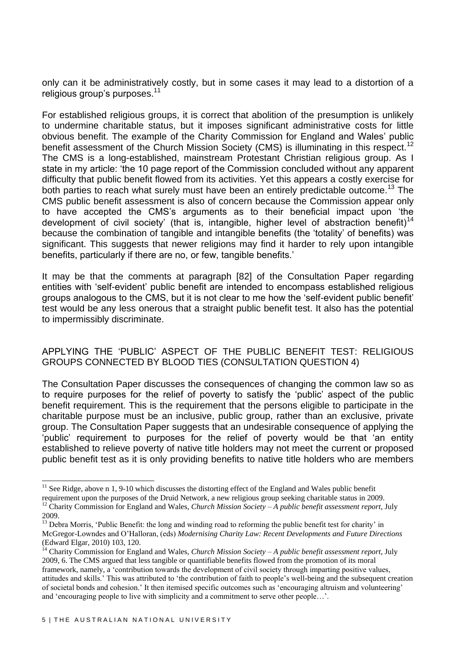only can it be administratively costly, but in some cases it may lead to a distortion of a religious group's purposes.<sup>11</sup>

For established religious groups, it is correct that abolition of the presumption is unlikely to undermine charitable status, but it imposes significant administrative costs for little obvious benefit. The example of the Charity Commission for England and Wales' public benefit assessment of the Church Mission Society (CMS) is illuminating in this respect.<sup>12</sup> The CMS is a long-established, mainstream Protestant Christian religious group. As I state in my article: 'the 10 page report of the Commission concluded without any apparent difficulty that public benefit flowed from its activities. Yet this appears a costly exercise for both parties to reach what surely must have been an entirely predictable outcome.<sup>13</sup> The CMS public benefit assessment is also of concern because the Commission appear only to have accepted the CMS's arguments as to their beneficial impact upon 'the development of civil society' (that is, intangible, higher level of abstraction benefit)<sup>14</sup> because the combination of tangible and intangible benefits (the 'totality' of benefits) was significant. This suggests that newer religions may find it harder to rely upon intangible benefits, particularly if there are no, or few, tangible benefits.'

It may be that the comments at paragraph [82] of the Consultation Paper regarding entities with 'self-evident' public benefit are intended to encompass established religious groups analogous to the CMS, but it is not clear to me how the 'self-evident public benefit' test would be any less onerous that a straight public benefit test. It also has the potential to impermissibly discriminate.

## APPLYING THE 'PUBLIC' ASPECT OF THE PUBLIC BENEFIT TEST: RELIGIOUS GROUPS CONNECTED BY BLOOD TIES (CONSULTATION QUESTION 4)

The Consultation Paper discusses the consequences of changing the common law so as to require purposes for the relief of poverty to satisfy the 'public' aspect of the public benefit requirement. This is the requirement that the persons eligible to participate in the charitable purpose must be an inclusive, public group, rather than an exclusive, private group. The Consultation Paper suggests that an undesirable consequence of applying the 'public' requirement to purposes for the relief of poverty would be that 'an entity established to relieve poverty of native title holders may not meet the current or proposed public benefit test as it is only providing benefits to native title holders who are members

 $11$  See Ridge, above n 1, 9-10 which discusses the distorting effect of the England and Wales public benefit requirement upon the purposes of the Druid Network, a new religious group seeking charitable status in 2009. <sup>12</sup> Charity Commission for England and Wales, *Church Mission Society – A public benefit assessment report*, July 2009.

<sup>&</sup>lt;sup>13</sup> Debra Morris, 'Public Benefit: the long and winding road to reforming the public benefit test for charity' in McGregor-Lowndes and O'Halloran, (eds) *Modernising Charity Law: Recent Developments and Future Directions* (Edward Elgar, 2010) 103, 120.

<sup>14</sup> Charity Commission for England and Wales, *Church Mission Society – A public benefit assessment report*, July 2009, 6. The CMS argued that less tangible or quantifiable benefits flowed from the promotion of its moral framework, namely, a 'contribution towards the development of civil society through imparting positive values, attitudes and skills.' This was attributed to 'the contribution of faith to people's well-being and the subsequent creation of societal bonds and cohesion.' It then itemised specific outcomes such as 'encouraging altruism and volunteering' and 'encouraging people to live with simplicity and a commitment to serve other people…'.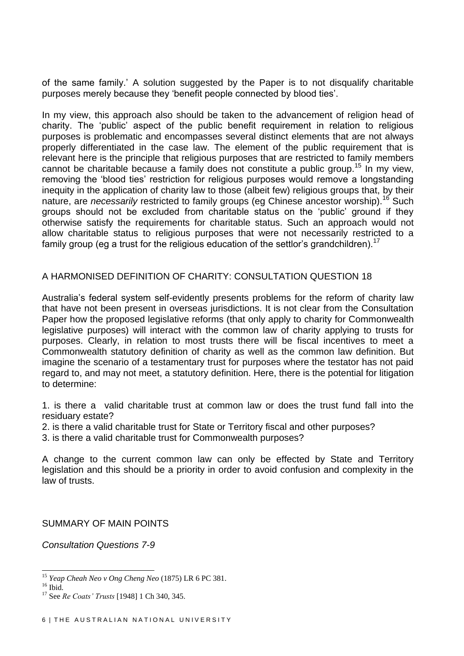of the same family.' A solution suggested by the Paper is to not disqualify charitable purposes merely because they 'benefit people connected by blood ties'.

In my view, this approach also should be taken to the advancement of religion head of charity. The 'public' aspect of the public benefit requirement in relation to religious purposes is problematic and encompasses several distinct elements that are not always properly differentiated in the case law. The element of the public requirement that is relevant here is the principle that religious purposes that are restricted to family members cannot be charitable because a family does not constitute a public group.<sup>15</sup> In my view, removing the 'blood ties' restriction for religious purposes would remove a longstanding inequity in the application of charity law to those (albeit few) religious groups that, by their nature, are *necessarily* restricted to family groups (eg Chinese ancestor worship).<sup>16</sup> Such groups should not be excluded from charitable status on the 'public' ground if they otherwise satisfy the requirements for charitable status. Such an approach would not allow charitable status to religious purposes that were not necessarily restricted to a family group (eg a trust for the religious education of the settlor's grandchildren).<sup>17</sup>

### A HARMONISED DEFINITION OF CHARITY: CONSULTATION QUESTION 18

Australia's federal system self-evidently presents problems for the reform of charity law that have not been present in overseas jurisdictions. It is not clear from the Consultation Paper how the proposed legislative reforms (that only apply to charity for Commonwealth legislative purposes) will interact with the common law of charity applying to trusts for purposes. Clearly, in relation to most trusts there will be fiscal incentives to meet a Commonwealth statutory definition of charity as well as the common law definition. But imagine the scenario of a testamentary trust for purposes where the testator has not paid regard to, and may not meet, a statutory definition. Here, there is the potential for litigation to determine:

1. is there a valid charitable trust at common law or does the trust fund fall into the residuary estate?

- 2. is there a valid charitable trust for State or Territory fiscal and other purposes?
- 3. is there a valid charitable trust for Commonwealth purposes?

A change to the current common law can only be effected by State and Territory legislation and this should be a priority in order to avoid confusion and complexity in the law of trusts.

SUMMARY OF MAIN POINTS

*Consultation Questions 7-9*

-

<sup>15</sup> *Yeap Cheah Neo v Ong Cheng Neo* (1875) LR 6 PC 381.

 $16$  Ibid.

<sup>17</sup> See *Re Coats' Trusts* [1948] 1 Ch 340, 345.